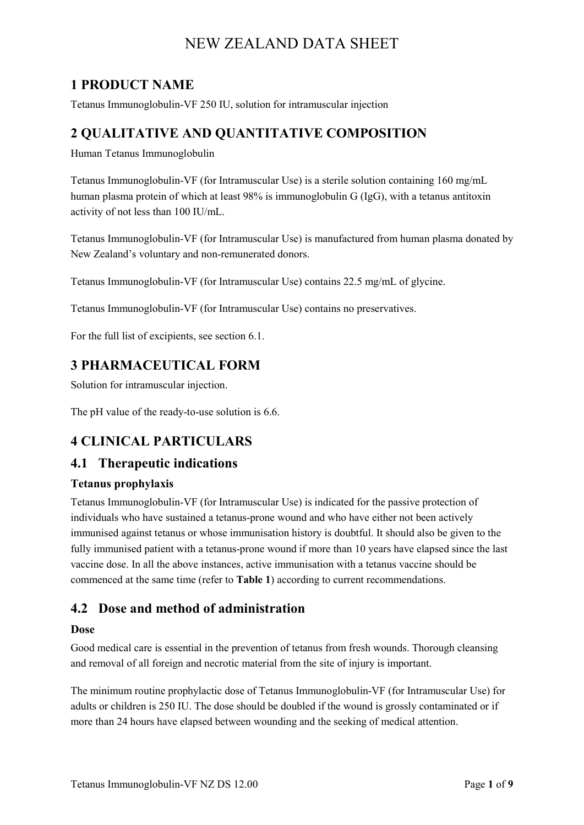# **1 PRODUCT NAME**

Tetanus Immunoglobulin-VF 250 IU, solution for intramuscular injection

# **2 QUALITATIVE AND QUANTITATIVE COMPOSITION**

Human Tetanus Immunoglobulin

Tetanus Immunoglobulin-VF (for Intramuscular Use) is a sterile solution containing 160 mg/mL human plasma protein of which at least 98% is immunoglobulin G (IgG), with a tetanus antitoxin activity of not less than 100 IU/mL.

Tetanus Immunoglobulin-VF (for Intramuscular Use) is manufactured from human plasma donated by New Zealand's voluntary and non-remunerated donors.

Tetanus Immunoglobulin-VF (for Intramuscular Use) contains 22.5 mg/mL of glycine.

Tetanus Immunoglobulin-VF (for Intramuscular Use) contains no preservatives.

For the full list of excipients, see section 6.1.

# **3 PHARMACEUTICAL FORM**

Solution for intramuscular injection.

The pH value of the ready-to-use solution is 6.6.

# **4 CLINICAL PARTICULARS**

## **4.1 Therapeutic indications**

#### **Tetanus prophylaxis**

Tetanus Immunoglobulin-VF (for Intramuscular Use) is indicated for the passive protection of individuals who have sustained a tetanus-prone wound and who have either not been actively immunised against tetanus or whose immunisation history is doubtful. It should also be given to the fully immunised patient with a tetanus-prone wound if more than 10 years have elapsed since the last vaccine dose. In all the above instances, active immunisation with a tetanus vaccine should be commenced at the same time (refer to **Table 1**) according to current recommendations.

## **4.2 Dose and method of administration**

#### **Dose**

Good medical care is essential in the prevention of tetanus from fresh wounds. Thorough cleansing and removal of all foreign and necrotic material from the site of injury is important.

The minimum routine prophylactic dose of Tetanus Immunoglobulin-VF (for Intramuscular Use) for adults or children is 250 IU. The dose should be doubled if the wound is grossly contaminated or if more than 24 hours have elapsed between wounding and the seeking of medical attention.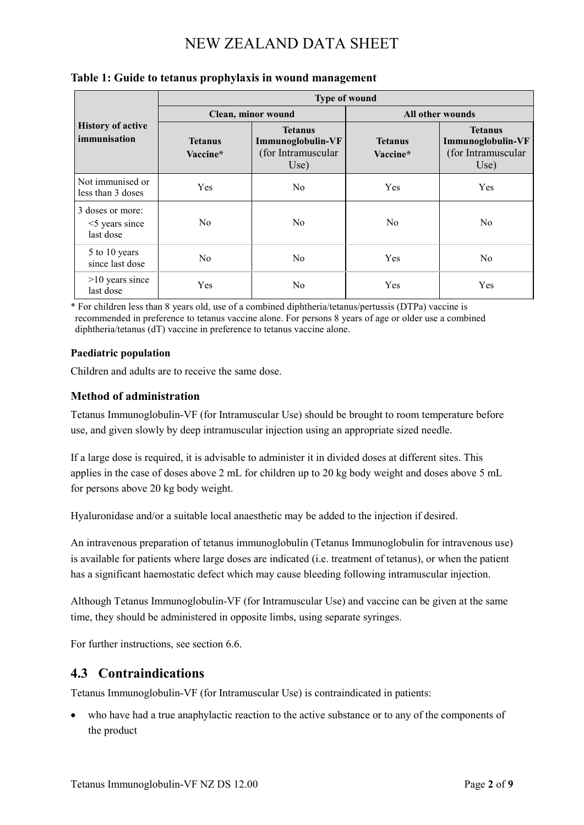|                                                    | <b>Type of wound</b>       |                                                                   |                            |                                                                   |
|----------------------------------------------------|----------------------------|-------------------------------------------------------------------|----------------------------|-------------------------------------------------------------------|
| <b>History of active</b><br>immunisation           | Clean, minor wound         |                                                                   | All other wounds           |                                                                   |
|                                                    | <b>Tetanus</b><br>Vaccine* | <b>Tetanus</b><br>Immunoglobulin-VF<br>(for Intramuscular<br>Use) | <b>Tetanus</b><br>Vaccine* | <b>Tetanus</b><br>Immunoglobulin-VF<br>(for Intramuscular<br>Use) |
| Not immunised or<br>less than 3 doses              | <b>Yes</b>                 | No                                                                | <b>Yes</b>                 | <b>Yes</b>                                                        |
| 3 doses or more:<br>$<$ 5 years since<br>last dose | No.                        | N <sub>0</sub>                                                    | No                         | No                                                                |
| 5 to 10 years<br>since last dose                   | No.                        | No                                                                | Yes                        | N <sub>o</sub>                                                    |
| $>10$ years since<br>last dose                     | Yes                        | No                                                                | Yes                        | <b>Yes</b>                                                        |

#### **Table 1: Guide to tetanus prophylaxis in wound management**

\* For children less than 8 years old, use of a combined diphtheria/tetanus/pertussis (DTPa) vaccine is recommended in preference to tetanus vaccine alone. For persons 8 years of age or older use a combined diphtheria/tetanus (dT) vaccine in preference to tetanus vaccine alone.

#### **Paediatric population**

Children and adults are to receive the same dose.

#### **Method of administration**

Tetanus Immunoglobulin-VF (for Intramuscular Use) should be brought to room temperature before use, and given slowly by deep intramuscular injection using an appropriate sized needle.

If a large dose is required, it is advisable to administer it in divided doses at different sites. This applies in the case of doses above 2 mL for children up to 20 kg body weight and doses above 5 mL for persons above 20 kg body weight.

Hyaluronidase and/or a suitable local anaesthetic may be added to the injection if desired.

An intravenous preparation of tetanus immunoglobulin (Tetanus Immunoglobulin for intravenous use) is available for patients where large doses are indicated (i.e. treatment of tetanus), or when the patient has a significant haemostatic defect which may cause bleeding following intramuscular injection.

Although Tetanus Immunoglobulin-VF (for Intramuscular Use) and vaccine can be given at the same time, they should be administered in opposite limbs, using separate syringes.

For further instructions, see section 6.6.

### **4.3 Contraindications**

Tetanus Immunoglobulin-VF (for Intramuscular Use) is contraindicated in patients:

who have had a true anaphylactic reaction to the active substance or to any of the components of the product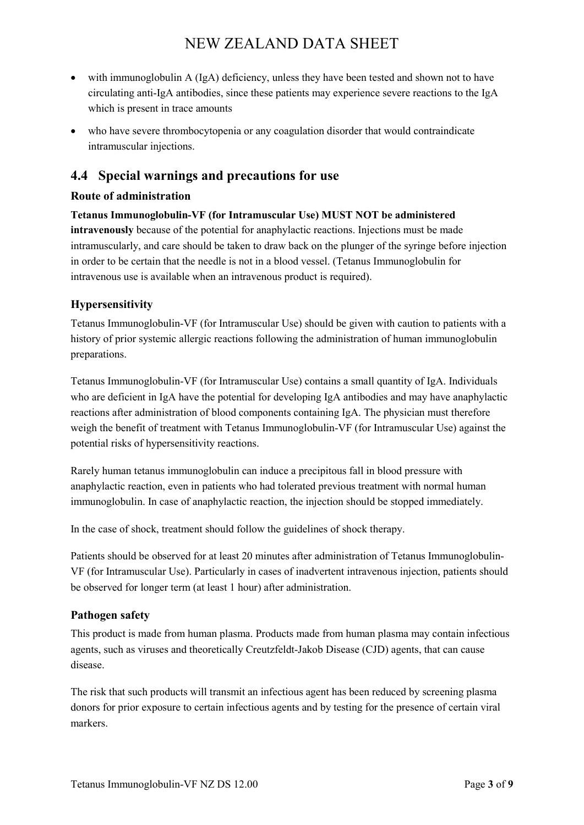- with immunoglobulin A (IgA) deficiency, unless they have been tested and shown not to have circulating anti-IgA antibodies, since these patients may experience severe reactions to the IgA which is present in trace amounts
- who have severe thrombocytopenia or any coagulation disorder that would contraindicate intramuscular injections.

# **4.4 Special warnings and precautions for use**

#### **Route of administration**

**Tetanus Immunoglobulin-VF (for Intramuscular Use) MUST NOT be administered intravenously** because of the potential for anaphylactic reactions. Injections must be made intramuscularly, and care should be taken to draw back on the plunger of the syringe before injection in order to be certain that the needle is not in a blood vessel. (Tetanus Immunoglobulin for intravenous use is available when an intravenous product is required).

#### **Hypersensitivity**

Tetanus Immunoglobulin-VF (for Intramuscular Use) should be given with caution to patients with a history of prior systemic allergic reactions following the administration of human immunoglobulin preparations.

Tetanus Immunoglobulin-VF (for Intramuscular Use) contains a small quantity of IgA. Individuals who are deficient in IgA have the potential for developing IgA antibodies and may have anaphylactic reactions after administration of blood components containing IgA. The physician must therefore weigh the benefit of treatment with Tetanus Immunoglobulin-VF (for Intramuscular Use) against the potential risks of hypersensitivity reactions.

Rarely human tetanus immunoglobulin can induce a precipitous fall in blood pressure with anaphylactic reaction, even in patients who had tolerated previous treatment with normal human immunoglobulin. In case of anaphylactic reaction, the injection should be stopped immediately.

In the case of shock, treatment should follow the guidelines of shock therapy.

Patients should be observed for at least 20 minutes after administration of Tetanus Immunoglobulin-VF (for Intramuscular Use). Particularly in cases of inadvertent intravenous injection, patients should be observed for longer term (at least 1 hour) after administration.

#### **Pathogen safety**

This product is made from human plasma. Products made from human plasma may contain infectious agents, such as viruses and theoretically Creutzfeldt-Jakob Disease (CJD) agents, that can cause disease.

The risk that such products will transmit an infectious agent has been reduced by screening plasma donors for prior exposure to certain infectious agents and by testing for the presence of certain viral markers.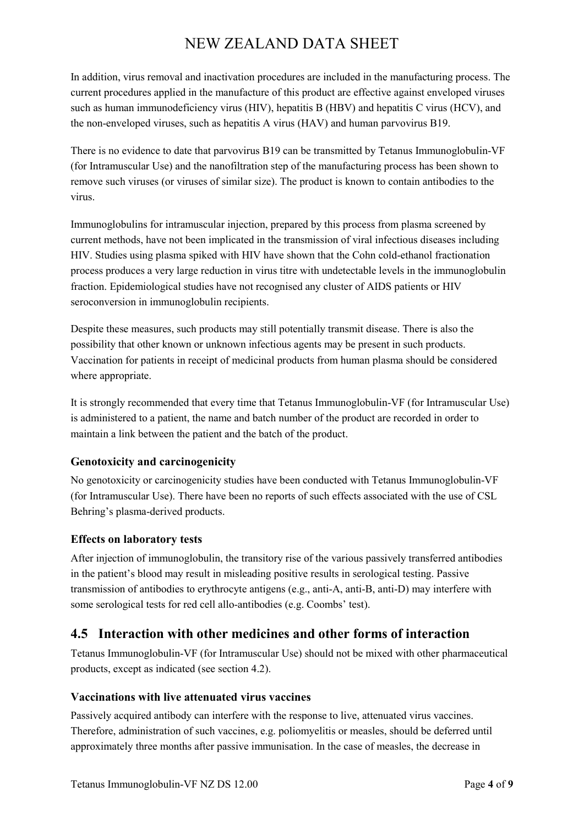In addition, virus removal and inactivation procedures are included in the manufacturing process. The current procedures applied in the manufacture of this product are effective against enveloped viruses such as human immunodeficiency virus (HIV), hepatitis B (HBV) and hepatitis C virus (HCV), and the non-enveloped viruses, such as hepatitis A virus (HAV) and human parvovirus B19.

There is no evidence to date that parvovirus B19 can be transmitted by Tetanus Immunoglobulin-VF (for Intramuscular Use) and the nanofiltration step of the manufacturing process has been shown to remove such viruses (or viruses of similar size). The product is known to contain antibodies to the virus.

Immunoglobulins for intramuscular injection, prepared by this process from plasma screened by current methods, have not been implicated in the transmission of viral infectious diseases including HIV. Studies using plasma spiked with HIV have shown that the Cohn cold-ethanol fractionation process produces a very large reduction in virus titre with undetectable levels in the immunoglobulin fraction. Epidemiological studies have not recognised any cluster of AIDS patients or HIV seroconversion in immunoglobulin recipients.

Despite these measures, such products may still potentially transmit disease. There is also the possibility that other known or unknown infectious agents may be present in such products. Vaccination for patients in receipt of medicinal products from human plasma should be considered where appropriate.

It is strongly recommended that every time that Tetanus Immunoglobulin-VF (for Intramuscular Use) is administered to a patient, the name and batch number of the product are recorded in order to maintain a link between the patient and the batch of the product.

#### **Genotoxicity and carcinogenicity**

No genotoxicity or carcinogenicity studies have been conducted with Tetanus Immunoglobulin-VF (for Intramuscular Use). There have been no reports of such effects associated with the use of CSL Behring's plasma-derived products.

#### **Effects on laboratory tests**

After injection of immunoglobulin, the transitory rise of the various passively transferred antibodies in the patient's blood may result in misleading positive results in serological testing. Passive transmission of antibodies to erythrocyte antigens (e.g., anti-A, anti-B, anti-D) may interfere with some serological tests for red cell allo-antibodies (e.g. Coombs' test).

## **4.5 Interaction with other medicines and other forms of interaction**

Tetanus Immunoglobulin-VF (for Intramuscular Use) should not be mixed with other pharmaceutical products, except as indicated (see section 4.2).

#### **Vaccinations with live attenuated virus vaccines**

Passively acquired antibody can interfere with the response to live, attenuated virus vaccines. Therefore, administration of such vaccines, e.g. poliomyelitis or measles, should be deferred until approximately three months after passive immunisation. In the case of measles, the decrease in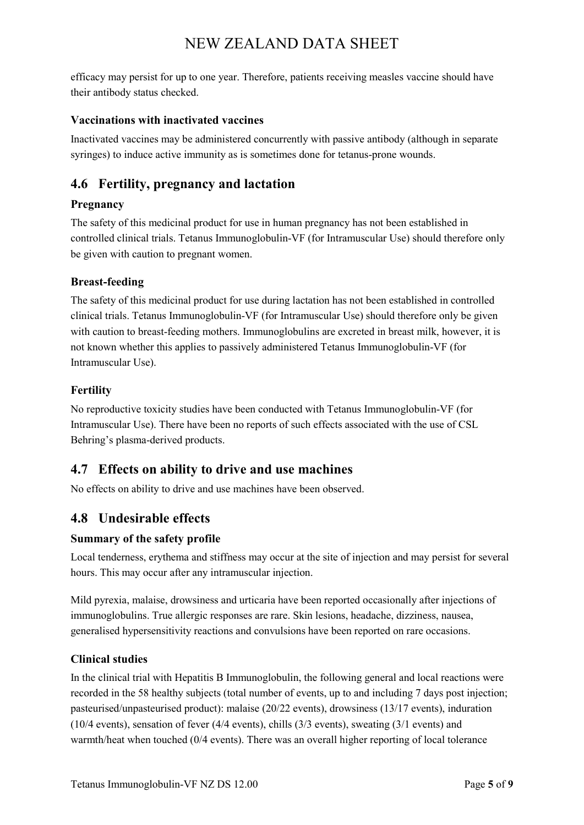efficacy may persist for up to one year. Therefore, patients receiving measles vaccine should have their antibody status checked.

#### **Vaccinations with inactivated vaccines**

Inactivated vaccines may be administered concurrently with passive antibody (although in separate syringes) to induce active immunity as is sometimes done for tetanus-prone wounds.

## **4.6 Fertility, pregnancy and lactation**

#### **Pregnancy**

The safety of this medicinal product for use in human pregnancy has not been established in controlled clinical trials. Tetanus Immunoglobulin-VF (for Intramuscular Use) should therefore only be given with caution to pregnant women.

#### **Breast-feeding**

The safety of this medicinal product for use during lactation has not been established in controlled clinical trials. Tetanus Immunoglobulin-VF (for Intramuscular Use) should therefore only be given with caution to breast-feeding mothers. Immunoglobulins are excreted in breast milk, however, it is not known whether this applies to passively administered Tetanus Immunoglobulin-VF (for Intramuscular Use).

#### **Fertility**

No reproductive toxicity studies have been conducted with Tetanus Immunoglobulin-VF (for Intramuscular Use). There have been no reports of such effects associated with the use of CSL Behring's plasma-derived products.

### **4.7 Effects on ability to drive and use machines**

No effects on ability to drive and use machines have been observed.

### **4.8 Undesirable effects**

#### **Summary of the safety profile**

Local tenderness, erythema and stiffness may occur at the site of injection and may persist for several hours. This may occur after any intramuscular injection.

Mild pyrexia, malaise, drowsiness and urticaria have been reported occasionally after injections of immunoglobulins. True allergic responses are rare. Skin lesions, headache, dizziness, nausea, generalised hypersensitivity reactions and convulsions have been reported on rare occasions.

#### **Clinical studies**

In the clinical trial with Hepatitis B Immunoglobulin, the following general and local reactions were recorded in the 58 healthy subjects (total number of events, up to and including 7 days post injection; pasteurised/unpasteurised product): malaise (20/22 events), drowsiness (13/17 events), induration (10/4 events), sensation of fever (4/4 events), chills (3/3 events), sweating (3/1 events) and warmth/heat when touched (0/4 events). There was an overall higher reporting of local tolerance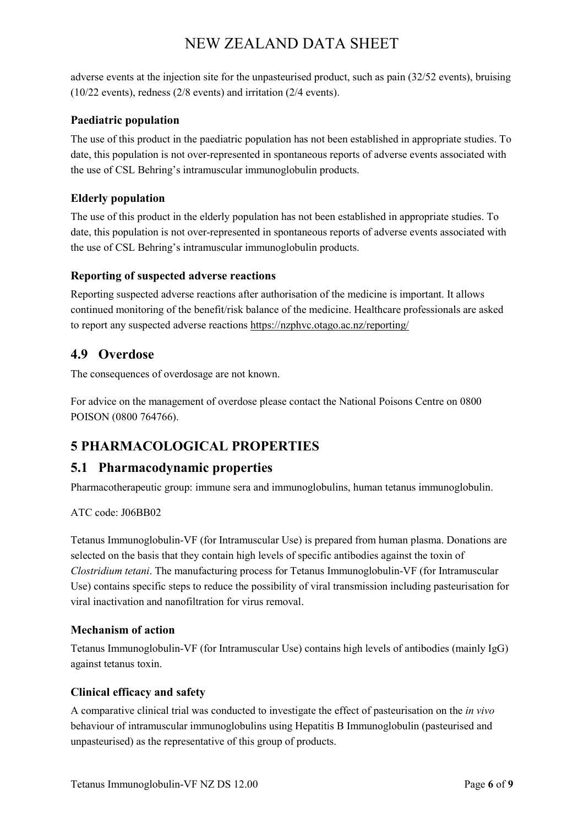adverse events at the injection site for the unpasteurised product, such as pain (32/52 events), bruising (10/22 events), redness (2/8 events) and irritation (2/4 events).

#### **Paediatric population**

The use of this product in the paediatric population has not been established in appropriate studies. To date, this population is not over-represented in spontaneous reports of adverse events associated with the use of CSL Behring's intramuscular immunoglobulin products.

#### **Elderly population**

The use of this product in the elderly population has not been established in appropriate studies. To date, this population is not over-represented in spontaneous reports of adverse events associated with the use of CSL Behring's intramuscular immunoglobulin products.

#### **Reporting of suspected adverse reactions**

Reporting suspected adverse reactions after authorisation of the medicine is important. It allows continued monitoring of the benefit/risk balance of the medicine. Healthcare professionals are asked to report any suspected adverse reactions https://nzphvc.otago.ac.nz/reporting/

### **4.9 Overdose**

The consequences of overdosage are not known.

For advice on the management of overdose please contact the National Poisons Centre on 0800 POISON (0800 764766).

# **5 PHARMACOLOGICAL PROPERTIES**

### **5.1 Pharmacodynamic properties**

Pharmacotherapeutic group: immune sera and immunoglobulins, human tetanus immunoglobulin.

#### ATC code: J06BB02

Tetanus Immunoglobulin-VF (for Intramuscular Use) is prepared from human plasma. Donations are selected on the basis that they contain high levels of specific antibodies against the toxin of *Clostridium tetani*. The manufacturing process for Tetanus Immunoglobulin-VF (for Intramuscular Use) contains specific steps to reduce the possibility of viral transmission including pasteurisation for viral inactivation and nanofiltration for virus removal.

#### **Mechanism of action**

Tetanus Immunoglobulin-VF (for Intramuscular Use) contains high levels of antibodies (mainly IgG) against tetanus toxin.

#### **Clinical efficacy and safety**

A comparative clinical trial was conducted to investigate the effect of pasteurisation on the *in vivo* behaviour of intramuscular immunoglobulins using Hepatitis B Immunoglobulin (pasteurised and unpasteurised) as the representative of this group of products.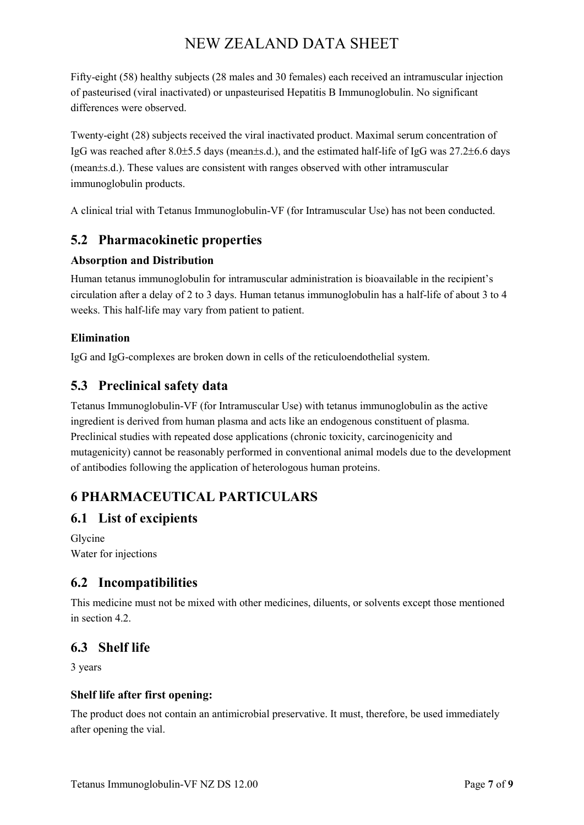Fifty-eight (58) healthy subjects (28 males and 30 females) each received an intramuscular injection of pasteurised (viral inactivated) or unpasteurised Hepatitis B Immunoglobulin. No significant differences were observed.

Twenty-eight (28) subjects received the viral inactivated product. Maximal serum concentration of IgG was reached after 8.0±5.5 days (mean±s.d.), and the estimated half-life of IgG was 27.2±6.6 days (mean±s.d.). These values are consistent with ranges observed with other intramuscular immunoglobulin products.

A clinical trial with Tetanus Immunoglobulin-VF (for Intramuscular Use) has not been conducted.

# **5.2 Pharmacokinetic properties**

#### **Absorption and Distribution**

Human tetanus immunoglobulin for intramuscular administration is bioavailable in the recipient's circulation after a delay of 2 to 3 days. Human tetanus immunoglobulin has a half-life of about 3 to 4 weeks. This half-life may vary from patient to patient.

#### **Elimination**

IgG and IgG-complexes are broken down in cells of the reticuloendothelial system.

# **5.3 Preclinical safety data**

Tetanus Immunoglobulin-VF (for Intramuscular Use) with tetanus immunoglobulin as the active ingredient is derived from human plasma and acts like an endogenous constituent of plasma. Preclinical studies with repeated dose applications (chronic toxicity, carcinogenicity and mutagenicity) cannot be reasonably performed in conventional animal models due to the development of antibodies following the application of heterologous human proteins.

# **6 PHARMACEUTICAL PARTICULARS**

### **6.1 List of excipients**

Glycine Water for injections

### **6.2 Incompatibilities**

This medicine must not be mixed with other medicines, diluents, or solvents except those mentioned in section  $4.2$ .

## **6.3 Shelf life**

3 years

#### **Shelf life after first opening:**

The product does not contain an antimicrobial preservative. It must, therefore, be used immediately after opening the vial.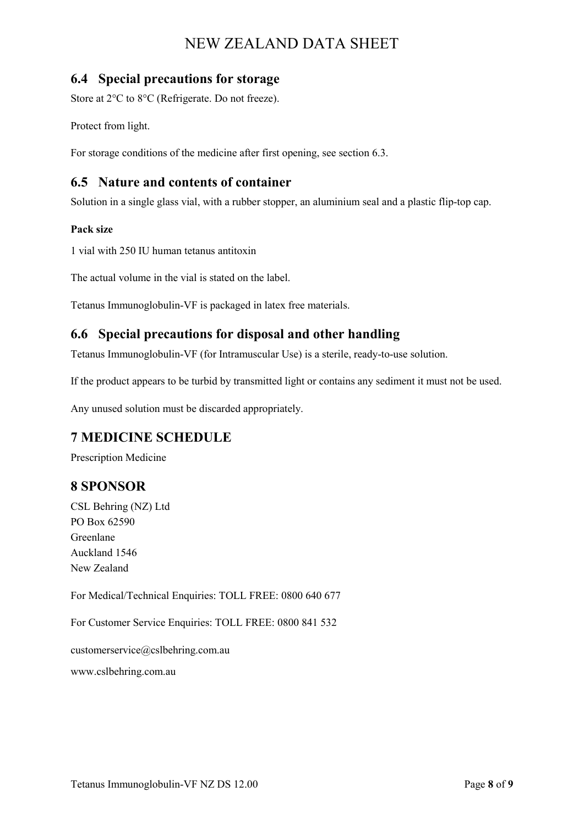### **6.4 Special precautions for storage**

Store at 2°C to 8°C (Refrigerate. Do not freeze).

Protect from light.

For storage conditions of the medicine after first opening, see section 6.3.

## **6.5 Nature and contents of container**

Solution in a single glass vial, with a rubber stopper, an aluminium seal and a plastic flip-top cap.

#### **Pack size**

1 vial with 250 IU human tetanus antitoxin

The actual volume in the vial is stated on the label.

Tetanus Immunoglobulin-VF is packaged in latex free materials.

## **6.6 Special precautions for disposal and other handling**

Tetanus Immunoglobulin-VF (for Intramuscular Use) is a sterile, ready-to-use solution.

If the product appears to be turbid by transmitted light or contains any sediment it must not be used.

Any unused solution must be discarded appropriately.

### **7 MEDICINE SCHEDULE**

Prescription Medicine

## **8 SPONSOR**

CSL Behring (NZ) Ltd PO Box 62590 Greenlane Auckland 1546 New Zealand

For Medical/Technical Enquiries: TOLL FREE: 0800 640 677

For Customer Service Enquiries: TOLL FREE: 0800 841 532

customerservice@cslbehring.com.au

www.cslbehring.com.au